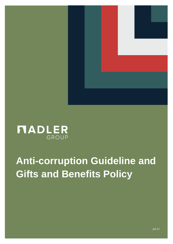

# **MADLER**

# **Anti-corruption Guideline and Gifts and Benefits Policy**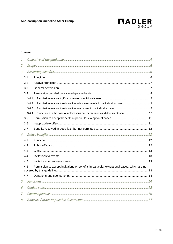

#### Content

| 1. |       |                                                                                             |  |
|----|-------|---------------------------------------------------------------------------------------------|--|
| 2. |       |                                                                                             |  |
| 3. |       |                                                                                             |  |
|    | 3.1   |                                                                                             |  |
|    | 3.2   |                                                                                             |  |
|    | 3.3   |                                                                                             |  |
|    | 3.4   |                                                                                             |  |
|    | 3.4.1 |                                                                                             |  |
|    | 3.4.2 |                                                                                             |  |
|    | 3.4.3 |                                                                                             |  |
|    | 3.4.4 | Procedures in the case of notifications and permissions and documentation 10                |  |
|    | 3.5   |                                                                                             |  |
|    | 3.6   |                                                                                             |  |
|    | 3.7   |                                                                                             |  |
| 4. |       |                                                                                             |  |
|    | 4.1   |                                                                                             |  |
|    | 4.2   |                                                                                             |  |
|    | 4.3   |                                                                                             |  |
|    | 4.4   |                                                                                             |  |
|    | 4.5   |                                                                                             |  |
|    | 4.6   | Permission to accept invitations or benefits in particular exceptional cases, which are not |  |
|    | 4.7   |                                                                                             |  |
| 5. |       |                                                                                             |  |
| 6. |       |                                                                                             |  |
| 7. |       |                                                                                             |  |
| 8. |       |                                                                                             |  |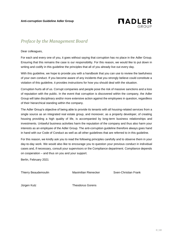

# *Preface by the Management Board*

Dear colleagues,

For each and every one of you, it goes without saying that corruption has no place in the Adler Group. Ensuring that this remains the case is our responsibility. For this reason, we would like to put down in writing and codify in this guideline the principles that all of you already live out every day.

With this guideline, we hope to provide you with a handbook that you can use to review the lawfulness of your own conduct. If you become aware of any incidents that you strongly believe could constitute a violation of this guideline, it provides instructions for how you should deal with the situation.

Corruption hurts all of us. Corrupt companies and people pose the risk of massive sanctions and a loss of reputation with the public. In the event that corruption is discovered within the company, the Adler Group will take disciplinary and/or more extensive action against the employees in question, regardless of their hierarchical standing within the company.

The Adler Group's objective of being able to provide its tenants with all housing-related services from a single source as an integrated real estate group, and moreover, as a property developer, of creating housing providing a high quality of life, is accompanied by long-term business relationships and investments. Unlawful business activities harm the reputation of the company and thus also harm your interests as an employee of the Adler Group. The anti-corruption guideline therefore always goes hand in hand with our Code of Conduct as well as all other guidelines that are referred to in this guideline.

For this reason, we kindly ask you to read the following principles carefully and to observe them in your day-to-day work. We would also like to encourage you to question your previous conduct in individual cases and, if necessary, consult your supervisors or the Compliance department. Compliance depends on cooperation – and thus on you and your support.

Berlin, February 2021

Thierry Beaudemoulin Maximilian Rienecker Sven-Christian Frank

Jürgen Kutz Theodorus Gorens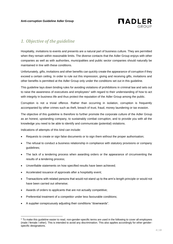

# <span id="page-3-0"></span>*1. Objective of the guideline*

Hospitality, invitations to events and presents are a natural part of business culture. They are permitted when they remain within reasonable limits. The diverse contacts that the Adler Group enjoys with other companies as well as with authorities, municipalities and public sector companies should naturally be maintained in line with these conditions.

Unfortunately, gifts, invitations and other benefits can quickly create the appearance of corruption if they exceed a certain ceiling. In order to rule out this impression, giving and receiving gifts, invitations and other benefits is permitted at the Adler Group only under the conditions set out in this guideline.

This guideline lays down binding rules for avoiding violations of prohibitions in criminal law and sets out to raise the awareness of executives and employees<sup>1</sup> with regard to their understanding of how to act with integrity in business life and thus protect the reputation of the Adler Group among the public.

Corruption is not a trivial offence. Rather than occurring in isolation, corruption is frequently accompanied by other crimes such as theft, breach of trust, fraud, money laundering or tax evasion.

The objective of this guideline is therefore to further promote the corporate culture of the Adler Group as an honest, upstanding company, to sustainably combat corruption, and to provide you with all the knowledge you need to be able to identify and communicate (potential) violations.

Indications of attempts of this kind can include:

- Requests to create or sign false documents or to sign them without the proper authorisation;
- The refusal to conduct a business relationship in compliance with statutory provisions or company guidelines;
- The lack of a tendering process when awarding orders or the appearance of circumventing the results of a tendering process;
- Unverifiable statements on how specified results have been achieved;
- Accelerated issuance of approvals after a hospitality event;
- Transactions with related persons that would not stand up to the arm's-length principle or would not have been carried out otherwise;
- Awards of orders to applicants that are not actually competitive;
- Preferential treatment of a competitor under less favourable conditions;
- A supplier conspicuously adjusting their conditions "downwards".

<sup>&</sup>lt;sup>1</sup> To make this quideline easier to read, non-gender-specific terms are used in the following to cover all employees (male / female / other). This is intended to avoid any discrimination. This also applies accordingly for other genderspecific designations.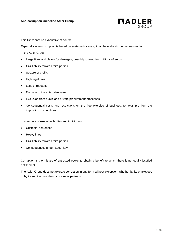

This list cannot be exhaustive of course.

Especially when corruption is based on systematic cases, it can have drastic consequences for...

- ... the Adler Group:
- Large fines and claims for damages, possibly running into millions of euros
- Civil liability towards third parties
- Seizure of profits
- High legal fees
- Loss of reputation
- Damage to the enterprise value
- Exclusion from public and private procurement processes
- Consequential costs and restrictions on the free exercise of business, for example from the imposition of conditions
- ... members of executive bodies and individuals:
- Custodial sentences
- Heavy fines
- Civil liability towards third parties
- Consequences under labour law

Corruption is the misuse of entrusted power to obtain a benefit to which there is no legally justified entitlement.

The Adler Group does not tolerate corruption in any form without exception, whether by its employees or by its service providers or business partners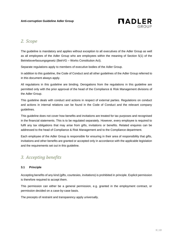

# <span id="page-5-0"></span>*2. Scope*

The guideline is mandatory and applies without exception to all executives of the Adler Group as well as all employees of the Adler Group who are employees within the meaning of Section 5(1) of the Betriebsverfassungsgesetz (BetrVG – Works Constitution Act).

Separate regulations apply to members of executive bodies of the Adler Group.

In addition to this guideline, the Code of Conduct and all other guidelines of the Adler Group referred to in this document always apply.

All regulations in this guideline are binding. Derogations from the regulations in this guideline are permitted only with the prior approval of the head of the Compliance & Risk Management divisions of the Adler Group.

This guideline deals with conduct and actions in respect of external parties. Regulations on conduct and actions in internal relations can be found in the Code of Conduct and the relevant company guidelines.

This guideline does not cover how benefits and invitations are treated for tax purposes and recognised in the financial statements. This is to be regulated separately. However, every employee is required to fulfil any tax obligations that may arise from gifts, invitations or benefits. Related enquires can be addressed to the head of Compliance & Risk Management and to the Compliance department.

Each employee of the Adler Group is responsible for ensuring in their area of responsibility that gifts, invitations and other benefits are granted or accepted only in accordance with the applicable legislation and the requirements set out in this guideline.

# <span id="page-5-1"></span>*3. Accepting benefits*

#### <span id="page-5-2"></span>**3.1 Principle**

Accepting benefits of any kind (gifts, courtesies, invitations) is prohibited in principle. Explicit permission is therefore required to accept them.

This permission can either be a general permission, e.g. granted in the employment contract, or permission decided on a case-by-case basis.

The precepts of restraint and transparency apply universally.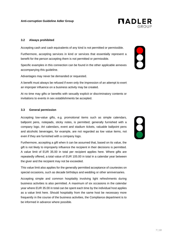

**NADLER** 

#### <span id="page-6-0"></span>**3.2 Always prohibited**

Accepting cash and cash equivalents of any kind is not permitted or permissible.

Furthermore, accepting services in kind or services that essentially represent a benefit for the person accepting them is not permitted or permissible.

Specific examples in this connection can be found in the other applicable annexes accompanying this guideline.

Advantages may never be demanded or requested.

A benefit must always be refused if even only the impression of an attempt to exert an improper influence on a business activity may be created.

At no time may gifts or benefits with sexually explicit or discriminatory contents or invitations to events in sex establishments be accepted.

#### <span id="page-6-1"></span>**3.3 General permission**

Accepting low-value gifts, e.g. promotional items such as simple calendars, ballpoint pens, notepads, sticky notes, is permitted; generally furnished with a company logo. Art calendars, event and stadium tickets, valuable ballpoint pens and alcoholic beverages, for example, are not regarded as low value items, not even if they are furnished with a company logo.

Furthermore, accepting a gift when it can be assumed that, based on its value, the gift is not likely to improperly influence the recipient in their decisions is permitted. A value limit of EUR 35.00 in total per recipient applies here. Where gifts are repeatedly offered, a total value of EUR 105.00 in total in a calendar year between the giver and the recipient may not be exceeded.

This value limit also applies for the generally permitted acceptance of courtesies on special occasions, such as decade birthdays and wedding or other anniversaries.

Accepting simple and common hospitality involving light refreshments during business activities is also permitted. A maximum of six occasions in the calendar year where EUR 35.00 in total can be spent each time by the individual host applies as a value limit here. Should hospitality from the same host be necessary more frequently in the course of the business activities, the Compliance department is to be informed in advance where possible.

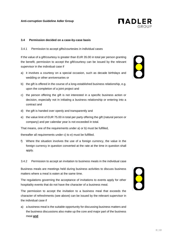

#### <span id="page-7-0"></span>**3.4 Permission decided on a case-by-case basis**

<span id="page-7-1"></span>3.4.1 Permission to accept gifts/courtesies in individual cases

If the value of a gift/courtesy is greater than EUR 35.00 in total per person granting the benefit, permission to accept the gift/courtesy can be issued by the relevant supervisor in the individual case if

- a) it involves a courtesy on a special occasion, such as decade birthdays and wedding or other anniversaries or
- b) the gift is offered in the course of a long-established business relationship, e.g. upon the completion of a joint project and
- c) the person offering the gift is not interested in a specific business action or decision, especially not in initiating a business relationship or entering into a contract and
- d) the gift is handed over openly and transparently and
- e) the value limit of EUR 75.00 in total per party offering the gift (natural person or company) and per calendar year is not exceeded in total.

That means, one of the requirements under a) or b) must be fulfilled,

thereafter all requirements under c) to e) must be fulfilled.

- f) Where the situation involves the use of a foreign currency, the value in the foreign currency in question converted at the rate at the time in question shall apply.
- <span id="page-7-2"></span>3.4.2 Permission to accept an invitation to business meals in the individual case

Business meals are meetings held during business activities to discuss business matters where a meal is eaten at the same time.

The regulations governing the acceptance of invitations to events apply for other hospitality events that do not have the character of a business meal.

The permission to accept the invitation to a business meal that exceeds the character of refreshments (see above) can be issued by the relevant supervisor in the individual case if

a) a business meal is the suitable opportunity for discussing business matters and the business discussions also make up the core and major part of the business meal **and**



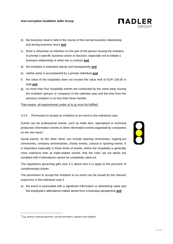- b) the business meal is held in the course of the normal business relationship and during business hours **and**
- c) there is otherwise no intention on the part of the person issuing the invitation to prompt a specific business action or decision, especially not to initiate a business relationship or enter into a contract **and**
- d) the invitation is extended openly and transparently **and**
- e) neither party is accompanied by a private individual **and**
- f) the value of the hospitality does not exceed the value limit of EUR 100.00 in total **and**
- g) no more than four hospitality events are conducted by the same party issuing the invitation (person or company) in the calendar year and the time from the previous invitation is no less than three months.

That means, all requirements under a) to g) must be fulfilled.

#### <span id="page-8-0"></span>3.4.3 Permission to accept an invitation to an event in the individual case

Events can be professional events, such as trade fairs, specialised or technical production information events or other information events organised by companies on the one hand.<sup>2</sup>

Social events, on the other hand, can include opening ceremonies, topping-out ceremonies, company anniversaries, charity events, cultural or sporting events. It is imperative especially in these kinds of events, where the hospitality is generally more extensive than at trade-related events, that the rules set out below are complied with if attendance cannot be completely ruled out.

The regulations governing gifts (see 3.1 above and 4.1) apply to the provision of complimentary tickets.

The permission to accept the invitation to an event can be issued by the relevant supervisor in the individual case if

a) the event is associated with a significant information or advertising value and the employee's attendance makes sense from a business perspective **and**





 $2$  E.g. service contract partners, service providers, lawyers and auditors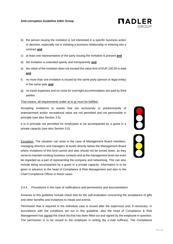- b) the person issuing the invitation is not interested in a specific business action or decision, especially not in initiating a business relationship or entering into a contract **and**
- c) at least one representative of the party issuing the invitation is present **and**
- d) the invitation is extended openly and transparently **and**
- e) the value of the invitation does not exceed the value limit of EUR 100.00 in total **and**
- f) no more than one invitation is issued by the same party (person or legal entity) in the same year **and**
- g) no travel expenses and no costs for overnight accommodation are paid by third parties.

#### That means, all requirements under a) to g) must be fulfilled.

Accepting invitations to events that are exclusively or predominantly of entertainment and/or recreational value are not permitted and not permissible in principle (see also Section 3.5).

It is in principle not permitted for employees to be accompanied by a guest in a private capacity (see also Section 3.5).

Exception: The situation can arise in the case of Management Board members, managing directors and managers at levels directly below the Management Board where invitations of this kind cannot and also should not be turned down, as they serve to maintain existing business contacts and at the management level can even be regarded as a part of representing the company and networking. This can also include being accompanied by a guest in a private capacity. Information is to be given in advance to the head of Compliance & Risk Management and also to the Chief Compliance Officer in these cases.

**PO CO** 

#### <span id="page-9-0"></span>3.4.4 Procedures in the case of notifications and permissions and documentation

Annexes to this guideline include check lists for the self-evaluation concerning the acceptance of gifts and other benefits and invitations to meals and events.

Permission that is required in the individual case is issued after the supervisor and, if necessary, in accordance with the conditions set out in this guideline, also the head of Compliance & Risk Management has signed the check list that has been filled out and signed by the employee in question. The permission is to be issued to the employee in writing (by e-mail suffices). The Compliance

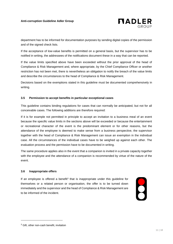

department has to be informed for documentation purposes by sending digital copies of the permission and of the signed check lists.

If the acceptance of low-value benefits is permitted on a general basis, but the supervisor has to be notified in writing, the addressees of the notifications document these in a way that can be reported.

If the value limits specified above have been exceeded without the prior approval of the head of Compliance & Risk Management and, where appropriate, by the Chief Compliance Officer or another restriction has not been met, there is nevertheless an obligation to notify the breach of the value limits and describe the circumstances to the head of Compliance & Risk Management.

Decisions based on the exemptions stated in this guideline must be documented comprehensively in writing.

#### <span id="page-10-0"></span>**3.5 Permission to accept benefits in particular exceptional cases**

This guideline contains binding regulations for cases that can normally be anticipated, but not for all conceivable cases. The following additions are therefore required:

If it is for example not permitted in principle to accept an invitation to a business meal of an event because the specific value limits in the sections above will be exceeded or because the entertainment or recreational character of the event is the predominant element or for other reasons, but the attendance of the employee is deemed to make sense from a business perspective, the supervisor together with the head of Compliance & Risk Management can issue an exemption in the individual case. All the circumstances of the individual cases have to be weighed up against each other. The evaluation process and the permission have to be documented in writing.

The same procedure applies also in the event that a companion is invited in a private capacity together with the employee and the attendance of a companion is recommended by virtue of the nature of the event.

#### <span id="page-10-1"></span>**3.6 Inappropriate offers**

If an employee is offered a benefit<sup>3</sup> that is inappropriate under this guideline for themselves or a related person or organisation, the offer is to be turned down immediately and the supervisor and the head of Compliance & Risk Management are to be informed of the incident.



<sup>3</sup> Gift, other non-cash benefit, invitation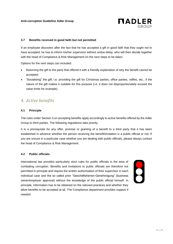

#### <span id="page-11-0"></span>**3.7 Benefits received in good faith but not permitted**

If an employee discovers after the fact that he has accepted a gift in good faith that they ought not to have accepted, he has to inform his/her supervisor without undue delay, who will then decide together with the head of Compliance & Risk Management on the next steps to be taken.

Options for the next steps can included:

- Returning the gift to the party that offered it with a friendly explanation of why the benefit cannot be accepted;
- "Socialising" the gift, i.e. providing the gift for Christmas parties, office parties, raffles, etc., if the nature of the gift makes it suitable for this purpose (i.e. it does not disproportionately exceed the value limits for example).

# <span id="page-11-1"></span>*4. Active benefits*

#### <span id="page-11-2"></span>**4.1 Principle**

The rules under Section 3 on accepting benefits apply accordingly to active benefits offered by the Adler Group to third parties. The following regulations take priority.

It is a prerequisite for any offer, promise or granting of a benefit to a third party that it has been established in advance whether the person receiving the benefit/invitation is a public official or not. If you are unsure in a particular case whether you are dealing with public officials, please always contact the head of Compliance & Risk Management.

#### <span id="page-11-3"></span>**4.2 Public officials**

International law provides particularly strict rules for public officials in the area of combating corruption. Benefits and invitations to public officials are therefore not permitted in principle and require the written authorisation of their supervisor in each individual case and the so called prior "Geschäftsherren-Genehmigung" (business owner/employer approval) without the knowledge of the public official himself. In principle, information has to be obtained on the relevant practices and whether they allow benefits to be accepted at all. The Compliance department provides support if needed.

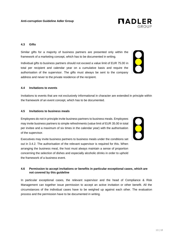13 | 18

#### **Anti-corruption Guideline Adler Group**

#### <span id="page-12-0"></span>**4.3 Gifts**

Similar gifts for a majority of business partners are presented only within the framework of a marketing concept, which has to be documented in writing.

Individual gifts to business partners should not exceed a value limit of EUR 75.00 in total per recipient and calendar year on a cumulative basis and require the authorisation of the supervisor. The gifts must always be sent to the company address and never to the private residence of the recipient.

#### <span id="page-12-1"></span>**4.4 Invitations to events**

Invitations to events that are not exclusively informational in character are extended in principle within the framework of an event concept, which has to be documented.

#### <span id="page-12-2"></span>**4.5 Invitations to business meals**

Employees do not in principle invite business partners to business meals. Employees may invite business partners to simple refreshments (value limit of EUR 35.00 in total per invitee and a maximum of six times in the calendar year) with the authorisation of the supervisor.

Executives may invite business partners to business meals under the conditions set out in 3.4.2. The authorisation of the relevant supervisor is required for this. When arranging the business meal, the host must always maintain a sense of proportion concerning the selection of dishes and especially alcoholic drinks in order to uphold the framework of a business event.

#### <span id="page-12-3"></span>**4.6 Permission to accept invitations or benefits in particular exceptional cases, which are not covered by this guideline**

In particular exceptional cases, the relevant supervisor and the head of Compliance & Risk Management can together issue permission to accept an active invitation or other benefit. All the circumstances of the individual cases have to be weighed up against each other. The evaluation process and the permission have to be documented in writing.





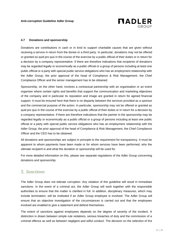

#### <span id="page-13-0"></span>**4.7 Donations and sponsorship**

Donations are contributions in cash or in kind to support charitable causes that are given without receiving a service in return from the donee or a third party. In particular, donations may not be offered or granted as quid pro quo in the course of the exercise by a public official of their duties or in return for a decision by a company representative. If there are therefore indications that recipients of donations may be regarded legally or economically as a public official or a group of persons including at least one public official or a party with special public service obligations who has an employment relationship with the Adler Group, the prior approval of the head of Compliance & Risk Management, the Chief Compliance Officer and the senior management has to be obtained.

Sponsorship, on the other hand, involves a contractual partnership with an organisation or an event organiser where certain rights and benefits that support the communication and marketing objectives of the company and in particular its reputation and image are granted in return for agreed financial support. It must be ensured here that there is no disparity between the services provided as a sponsor and the commercial purpose of the action. In particular, sponsorship may not be offered or granted as quid pro quo in the course of the exercise by a public official of their duties or in return for a decision by a company representative. If there are therefore indications that the partner in the sponsorship may be regarded legally or economically as a public official or a group of persons including at least one public official or a party with special public service obligations who has an employment relationship with the Adler Group, the prior approval of the head of Compliance & Risk Management, the Chief Compliance Officer and the CEO has to be obtained.

All donations and sponsorships are subject in principle to the requirement for transparency. It must be apparent to whom payments have been made or for whom services have been performed, who the ultimate recipient is and what the donation or sponsorship will be used for.

For more detailed information on this, please see separate regulations of the Adler Group concerning donations and sponsorship.

### <span id="page-13-1"></span>*5. Sanctions*

The Adler Group does not tolerate corruption. Any violation of this guideline will result in immediate sanctions. In the event of a criminal act, the Adler Group will work together with the responsible authorities to ensure that the matter is clarified in full. In addition, disciplinary measures, which may include termination, will be instituted if an Adler Group employee is involved. The Adler Group will ensure that an objective investigation of the circumstances is carried out and that the employees involved are enabled to give a statement and defend themselves.

The extent of sanctions against employees depends on the degree of severity of the incident. A distinction is drawn between simple rule violations, serious breaches of duty and the commission of a criminal offence as well as between negligent and wilful conduct. The decision on the selection of the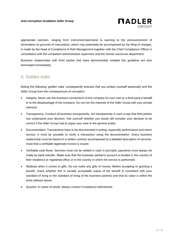

appropriate sanction, ranging from instruction/reprimand to warning to the pronouncement of termination on grounds of misconduct, which may potentially be accompanied by the filing of charges, is made by the head of Compliance & Risk Management together with the Chief Compliance Officer in consultation with the competent administrative supervisor and the human resources department.

Business relationships with third parties that have demonstrably violated this guideline are also terminated immediately.

# <span id="page-14-0"></span>*6. Golden rules*

Noting the following 'golden rules' consequently ensures that you protect yourself personally and the Adler Group from the consequences of corruption:

- Integrity: Never use the business connections of the company for your own or a third party's benefit or to the disadvantage of the company. Do not mix the interests of the Adler Group with your private interests.
- Transparency: Conduct all business transparently. Act transparently in such a way that third parties can understand your decision. Ask yourself whether you would still consider your decision to be correct if the Adler Group had to argue your view to the general public.
- Documentation: Transactions have to be documented in writing, especially performance and return service. It must be possible to verify a transaction using the documentation. Every business relationship must be based on a written contract accompanied by a detailed description of services. Insist that a verifiable legitimate invoice is issued.
- Verifiable cash flows: Services must not be settled in cash in principle; payments must always be made by bank transfer. Make sure that the business partner's account is located in the country of their residence or registered office or in the country in which the service is performed.
- Modesty when it comes to gifts: Do not make any gifts of money. Before accepting or granting a benefit, check whether this is socially acceptable (value of the benefit is consistent with your standard of living or the standard of living of the business partner) and that its value is within the limits defined above.
- Queries: In cases of doubt, always contact Compliance beforehand.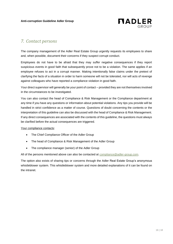

# <span id="page-15-0"></span>*7. Contact persons*

The company management of the Adler Real Estate Group urgently requests its employees to share and, when possible, document their concerns if they suspect corrupt conduct.

Employees do not have to be afraid that they may suffer negative consequences if they report suspicious events in good faith that subsequently prove not to be a violation. The same applies if an employee refuses to act in a corrupt manner. Making intentionally false claims under the pretext of clarifying the facts of a situation in order to harm someone will not be tolerated, nor will acts of revenge against colleagues who have reported a compliance violation in good faith.

Your direct supervisor will generally be your point of contact – provided they are not themselves involved in the circumstances to be investigated.

You can also contact the head of Compliance & Risk Management or the Compliance department at any time if you have any questions or information about potential violations. Any tips you provide will be handled in strict confidence as a matter of course. Questions of doubt concerning the contents or the interpretation of this guideline can also be discussed with the head of Compliance & Risk Management. If any direct consequences are associated with the contents of this guideline, the questions must always be clarified before the actual consequences are triggered.

Your compliance contacts:

- The Chief Compliance Officer of the Adler Group
- The head of Compliance & Risk Management of the Adler Group
- The compliance manager (senior) of the Adler Group

All of the persons mentioned above can also be contacted at [compliance@adler-group.com.](mailto:compliance@adler-group.com)

The option also exists of sharing tips or concerns through the Adler Real Estate Group's anonymous whistleblower system. This whistleblower system and more detailed explanations of it can be found on the intranet.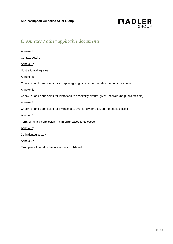

# <span id="page-16-0"></span>*8. Annexes / other applicable documents*

| Annexe 1:                                                                                             |
|-------------------------------------------------------------------------------------------------------|
| Contact details                                                                                       |
| Annexe 2:                                                                                             |
| Illustrations/diagrams                                                                                |
| Annexe 3:                                                                                             |
| Check list and permission for accepting/giving gifts / other benefits (no public officials)           |
| Annexe 4:                                                                                             |
| Check list and permission for invitations to hospitality events, given/received (no public officials) |
| Annexe 5:                                                                                             |
| Check list and permission for invitations to events, given/received (no public officials)             |
| Annexe 6:                                                                                             |
| Form obtaining permission in particular exceptional cases                                             |
| Annexe 7:                                                                                             |
| Definitions/glossary                                                                                  |
| Annexe 8:                                                                                             |
| Examples of benefits that are always prohibited                                                       |